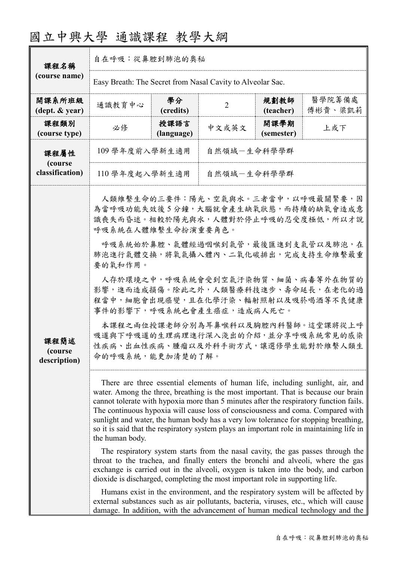# 國立中興大學 通識課程 教學大綱

| 課程名稱                               | 自在呼吸:從鼻腔到肺泡的奧秘                                                                                                                                                                                                                                                                                                                                                                                                                                                                                                                                                                                                                                                                                                                 |                    |                |                    |                   |  |
|------------------------------------|--------------------------------------------------------------------------------------------------------------------------------------------------------------------------------------------------------------------------------------------------------------------------------------------------------------------------------------------------------------------------------------------------------------------------------------------------------------------------------------------------------------------------------------------------------------------------------------------------------------------------------------------------------------------------------------------------------------------------------|--------------------|----------------|--------------------|-------------------|--|
| (course name)                      | Easy Breath: The Secret from Nasal Cavity to Alveolar Sac.                                                                                                                                                                                                                                                                                                                                                                                                                                                                                                                                                                                                                                                                     |                    |                |                    |                   |  |
| 開課系所班級<br>(dept. & year)           | 通識教育中心                                                                                                                                                                                                                                                                                                                                                                                                                                                                                                                                                                                                                                                                                                                         | 學分<br>(credits)    | $\overline{2}$ | 規劃教師<br>(teacher)  | 醫學院籌備處<br>傅彬貴、梁凱莉 |  |
| 課程類別<br>(course type)              | 必修                                                                                                                                                                                                                                                                                                                                                                                                                                                                                                                                                                                                                                                                                                                             | 授課語言<br>(language) | 中文或英文          | 開課學期<br>(semester) | 上或下               |  |
| 課程屬性<br>(course<br>classification) | 109 學年度前入學新生適用<br>自然領域一生命科學學群                                                                                                                                                                                                                                                                                                                                                                                                                                                                                                                                                                                                                                                                                                  |                    |                |                    |                   |  |
|                                    | 110 學年度起入學新生適用<br>自然領域一生命科學學群                                                                                                                                                                                                                                                                                                                                                                                                                                                                                                                                                                                                                                                                                                  |                    |                |                    |                   |  |
| 課程簡述<br>(course)<br>description)   | 人類維繫生命的三要件:陽光、空氣與水。三者當中,以呼吸最關緊要,因<br>為當呼吸功能失效後5分鐘,大腦就會產生缺氧狀態,而持續的缺氧會造成意<br>識喪失而昏迷。相較於陽光與水,人體對於停止呼吸的忍受度極低,所以才說<br>呼吸系統在人體維繫生命扮演重要角色。<br>呼吸系統始於鼻腔、氣體經過咽喉到氣管,最後匯進到支氣管以及肺泡,在<br>肺泡進行氣體交換,將氧氣攝入體內、二氧化碳排出,完成支持生命維繫最重<br>要的氧和作用。<br>人存於環境之中,呼吸系統會受到空氣汙染物質、細菌、病毒等外在物質的<br>影響,進而造成損傷。除此之外,人類醫療科技進步、壽命延長,在老化的過<br>程當中,細胞會出現癌變,且在化學汙染、輻射照射以及吸菸喝酒等不良健康<br>事件的影響下,呼吸系統也會產生癌症,造成病人死亡。<br>本課程之兩位授課老師分別為耳鼻喉科以及胸腔內科醫師。這堂課將從上呼<br>吸道與下呼吸道的生理病理進行深入淺出的介紹,並分享呼吸系統常見的感染<br>性疾病、出血性疾病、腫瘤以及外科手術方式,讓選修學生能對於維繫人類生<br>命的呼吸系統,能更加清楚的了解。                                                                                                                                                                                                                   |                    |                |                    |                   |  |
|                                    | There are three essential elements of human life, including sunlight, air, and<br>water. Among the three, breathing is the most important. That is because our brain<br>cannot tolerate with hypoxia more than 5 minutes after the respiratory function fails.<br>The continuous hypoxia will cause loss of consciousness and coma. Compared with<br>sunlight and water, the human body has a very low tolerance for stopping breathing,<br>so it is said that the respiratory system plays an important role in maintaining life in<br>the human body.<br>The respiratory system starts from the nasal cavity, the gas passes through the<br>throat to the trachea, and finally enters the bronchi and alveoli, where the gas |                    |                |                    |                   |  |
|                                    | exchange is carried out in the alveoli, oxygen is taken into the body, and carbon<br>dioxide is discharged, completing the most important role in supporting life.<br>Humans exist in the environment, and the respiratory system will be affected by<br>external substances such as air pollutants, bacteria, viruses, etc., which will cause<br>damage. In addition, with the advancement of human medical technology and the                                                                                                                                                                                                                                                                                                |                    |                |                    |                   |  |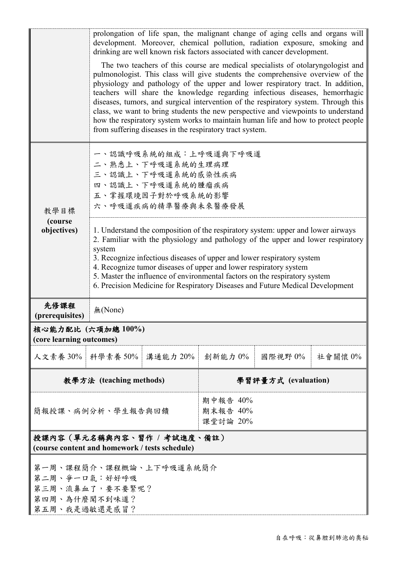|                                                                                               | prolongation of life span, the malignant change of aging cells and organs will<br>development. Moreover, chemical pollution, radiation exposure, smoking and<br>drinking are well known risk factors associated with cancer development.<br>The two teachers of this course are medical specialists of otolaryngologist and<br>pulmonologist. This class will give students the comprehensive overview of the<br>physiology and pathology of the upper and lower respiratory tract. In addition,<br>teachers will share the knowledge regarding infectious diseases, hemorrhagic<br>diseases, tumors, and surgical intervention of the respiratory system. Through this<br>class, we want to bring students the new perspective and viewpoints to understand<br>how the respiratory system works to maintain human life and how to protect people<br>from suffering diseases in the respiratory tract system. |                                  |         |  |         |         |
|-----------------------------------------------------------------------------------------------|---------------------------------------------------------------------------------------------------------------------------------------------------------------------------------------------------------------------------------------------------------------------------------------------------------------------------------------------------------------------------------------------------------------------------------------------------------------------------------------------------------------------------------------------------------------------------------------------------------------------------------------------------------------------------------------------------------------------------------------------------------------------------------------------------------------------------------------------------------------------------------------------------------------|----------------------------------|---------|--|---------|---------|
| 教學目標                                                                                          | 一、認識呼吸系統的組成:上呼吸道與下呼吸道<br>二、熟悉上、下呼吸道系統的生理病理<br>三、認識上、下呼吸道系統的感染性疾病<br>四、認識上、下呼吸道系統的腫瘤疾病<br>五、掌握環境因子對於呼吸系統的影響<br>六、呼吸道疾病的精準醫療與未來醫療發展                                                                                                                                                                                                                                                                                                                                                                                                                                                                                                                                                                                                                                                                                                                                                                             |                                  |         |  |         |         |
| (course)<br>objectives)                                                                       | 1. Understand the composition of the respiratory system: upper and lower airways<br>2. Familiar with the physiology and pathology of the upper and lower respiratory<br>system<br>3. Recognize infectious diseases of upper and lower respiratory system<br>4. Recognize tumor diseases of upper and lower respiratory system<br>5. Master the influence of environmental factors on the respiratory system<br>6. Precision Medicine for Respiratory Diseases and Future Medical Development                                                                                                                                                                                                                                                                                                                                                                                                                  |                                  |         |  |         |         |
| 先修課程<br>(prerequisites)                                                                       | 無(None)                                                                                                                                                                                                                                                                                                                                                                                                                                                                                                                                                                                                                                                                                                                                                                                                                                                                                                       |                                  |         |  |         |         |
| 核心能力配比 (六項加總100%)<br>(core learning outcomes)                                                 |                                                                                                                                                                                                                                                                                                                                                                                                                                                                                                                                                                                                                                                                                                                                                                                                                                                                                                               |                                  |         |  |         |         |
| 人文素養 30%   科學素養 50%                                                                           |                                                                                                                                                                                                                                                                                                                                                                                                                                                                                                                                                                                                                                                                                                                                                                                                                                                                                                               | 溝通能力 20%                         | 創新能力 0% |  | 國際視野 0% | 社會關懷 0% |
| 教學方法 (teaching methods)                                                                       |                                                                                                                                                                                                                                                                                                                                                                                                                                                                                                                                                                                                                                                                                                                                                                                                                                                                                                               | 學習評量方式 (evaluation)              |         |  |         |         |
| 簡報授課、病例分析、學生報告與回饋                                                                             |                                                                                                                                                                                                                                                                                                                                                                                                                                                                                                                                                                                                                                                                                                                                                                                                                                                                                                               | 期中報告 40%<br>期末報告 40%<br>課堂討論 20% |         |  |         |         |
| 授課內容(單元名稱與內容、習作 / 考試進度、備註)<br>(course content and homework / tests schedule)                  |                                                                                                                                                                                                                                                                                                                                                                                                                                                                                                                                                                                                                                                                                                                                                                                                                                                                                                               |                                  |         |  |         |         |
| 第一周、課程簡介、課程概論、上下呼吸道系統簡介<br>第二周、爭一口氣:好好呼吸<br>第三周、流鼻血了,要不要緊呢?<br>第四周、為什麼聞不到味道?<br>第五周、我是過敏還是感冒? |                                                                                                                                                                                                                                                                                                                                                                                                                                                                                                                                                                                                                                                                                                                                                                                                                                                                                                               |                                  |         |  |         |         |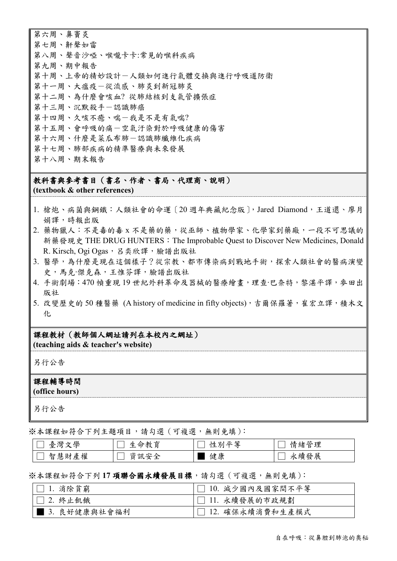第六周、鼻竇炎 第七周、鼾聲如雷 第八周、聲音沙啞、喉嚨卡卡:常見的喉科疾病 第九周、期中報告 第十周、上帝的精妙設計一人類如何進行氣體交換與進行呼吸道防衛 第十一周、大瘟疫一從流感、肺炎到新冠肺炎 第十二周、為什麼會咳血? 從肺結核到支氣管擴張症 第十三周、沉默殺手一認識肺癌 第十四周、久咳不癒、喘-我是不是有氣喘? 第十五周、會呼吸的痛一空氣汙染對於呼吸健康的傷害 第十六周、什麼是菜瓜布肺一認識肺纖維化疾病 第十七周、肺部疾病的精準醫療與未來發展 第十八周、期末報告

## 教科書與參考書目(書名、作者、書局、代理商、說明)

**(textbook & other references)**

- 1. 槍炮、病菌與鋼鐵:人類社會的命運〔20 週年典藏紀念版〕,Jared Diamond,王道還、廖月 娟譯,時報出版
- 2. 藥物獵人:不是毒的毒 x 不是藥的藥,從巫師、植物學家、化學家到藥廠,一段不可思議的 新藥發現史 THE DRUG HUNTERS: The Improbable Quest to Discover New Medicines, Donald [R. Kirsch,](https://search.books.com.tw/search/query/key/Donald+R.+Kirsch/adv_author/1/) [Ogi Ogas](https://search.books.com.tw/search/query/key/Ogi+Ogas/adv_author/1/), 呂奕欣譯[,臉譜出](https://www.books.com.tw/web/sys_puballb/books/?pubid=face)版社
- 3. 醫學,為什麼是現在這個樣子?從宗教、都市傳染病到戰地手術,探索人類社會的醫病演變 史,馬克‧傑克森,王惟芬譯,臉譜出版社
- 4. 手術劇場:470 幀重現 19 世紀外科革命及器械的醫療繪畫,理查‧巴奈特,黎湛平譯,麥田出 版社
- 5. 改變歷史的 50 種醫藥 (A history of medicine in fifty objects),吉爾保羅著,崔宏立譯,積木文 化

### 課程教材(教師個人網址請列在本校內之網址)

**(teaching aids & teacher's website)**

另行公告

#### 課程輔導時間

**(office hours)**

另行公告

※本課程如符合下列主題項目,請勾選(可複選,無則免填):

| 學<br>臺灣文       | .命教育<br>Æ     | 亚笙<br>卍<br>ЖIJ | 情緒管理 |
|----------------|---------------|----------------|------|
| 產權<br>智慧<br>.財 | 写全<br>貣<br>訊安 | 健康             | 永續發展 |

#### ※本課程如符合下列 **17** 項聯合國永續發展目標,請勾選(可複選,無則免填):

| $\Box$ 1. 消除貧窮 | □ 10. 減少國內及國家間不平等 |
|----------------|-------------------|
| $\Box$ 2. 終止飢餓 | □ 11. 永續發展的市政規劃   |
| 3. 良好健康與社會福利   | □ 12. 確保永續消費和生產模式 |